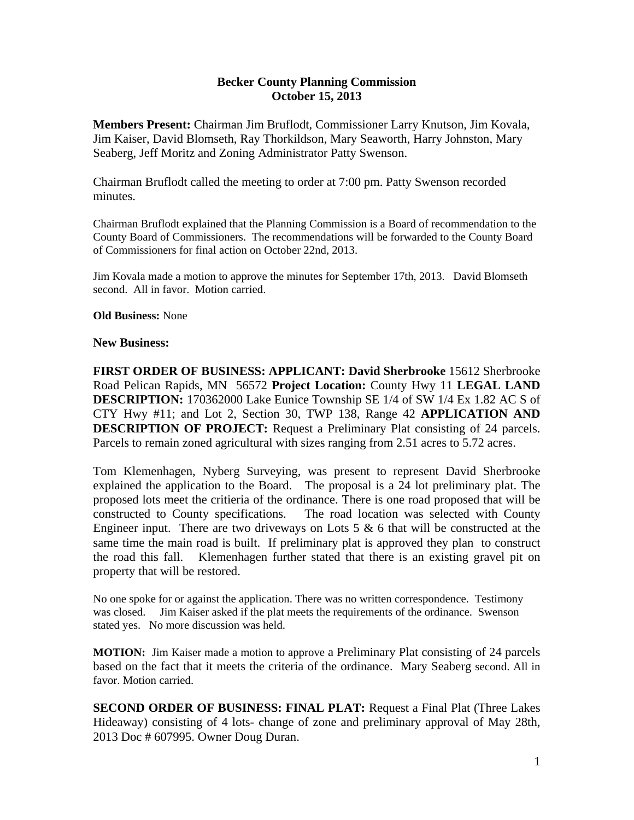## **Becker County Planning Commission October 15, 2013**

**Members Present:** Chairman Jim Bruflodt, Commissioner Larry Knutson, Jim Kovala, Jim Kaiser, David Blomseth, Ray Thorkildson, Mary Seaworth, Harry Johnston, Mary Seaberg, Jeff Moritz and Zoning Administrator Patty Swenson.

Chairman Bruflodt called the meeting to order at 7:00 pm. Patty Swenson recorded minutes.

Chairman Bruflodt explained that the Planning Commission is a Board of recommendation to the County Board of Commissioners. The recommendations will be forwarded to the County Board of Commissioners for final action on October 22nd, 2013.

Jim Kovala made a motion to approve the minutes for September 17th, 2013. David Blomseth second. All in favor. Motion carried.

## **Old Business:** None

## **New Business:**

**FIRST ORDER OF BUSINESS: APPLICANT: David Sherbrooke** 15612 Sherbrooke Road Pelican Rapids, MN 56572 **Project Location:** County Hwy 11 **LEGAL LAND DESCRIPTION:** 170362000 Lake Eunice Township SE 1/4 of SW 1/4 Ex 1.82 AC S of CTY Hwy #11; and Lot 2, Section 30, TWP 138, Range 42 **APPLICATION AND DESCRIPTION OF PROJECT:** Request a Preliminary Plat consisting of 24 parcels. Parcels to remain zoned agricultural with sizes ranging from 2.51 acres to 5.72 acres.

Tom Klemenhagen, Nyberg Surveying, was present to represent David Sherbrooke explained the application to the Board. The proposal is a 24 lot preliminary plat. The proposed lots meet the critieria of the ordinance. There is one road proposed that will be constructed to County specifications. The road location was selected with County Engineer input. There are two driveways on Lots 5  $\&$  6 that will be constructed at the same time the main road is built. If preliminary plat is approved they plan to construct the road this fall. Klemenhagen further stated that there is an existing gravel pit on property that will be restored.

No one spoke for or against the application. There was no written correspondence. Testimony was closed. Jim Kaiser asked if the plat meets the requirements of the ordinance. Swenson stated yes. No more discussion was held.

**MOTION:** Jim Kaiser made a motion to approve a Preliminary Plat consisting of 24 parcels based on the fact that it meets the criteria of the ordinance. Mary Seaberg second. All in favor. Motion carried.

**SECOND ORDER OF BUSINESS: FINAL PLAT:** Request a Final Plat (Three Lakes Hideaway) consisting of 4 lots- change of zone and preliminary approval of May 28th, 2013 Doc # 607995. Owner Doug Duran.